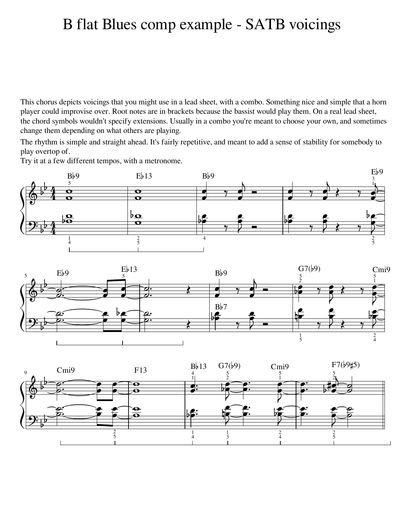## B flat Blues comp example - SATB voicings

This chorus depicts voicings that you might use in a lead sheet, with a combo. Something nice and simple that a horn player could improvise over. Root notes are in brackets because the bassist would play them. On a real lead sheet, the chord symbols wouldn't specify extensions. Usually in a combo you're meant to choose your own, and sometimes change them depending on what others are playing.

The rhythm is simple and straight ahead. It's fairly repetitive, and meant to add a sense of stability for somebody to play overtop of.

Try it at a few different tempos, with a metronome.